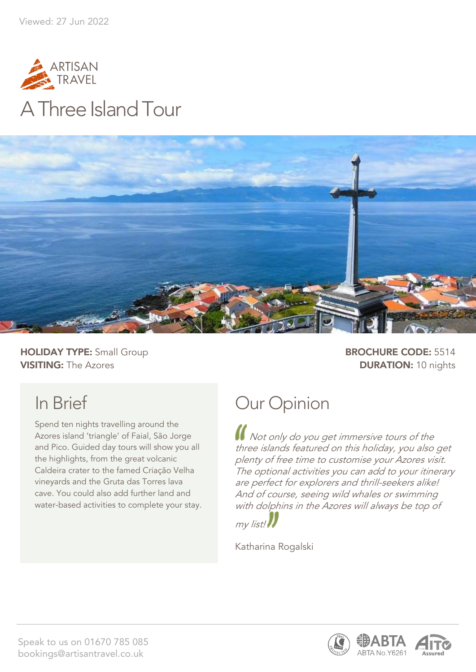



**HOLIDAY TYPE:** Small Group **BROCHURE CODE:** 5514 **VISITING:** The Azores **DURATION:** 10 nights

# In Brief

Spend ten nights travelling around the Azores island 'triangle' of Faial, São Jorge and Pico. Guided day tours will show you all the highlights, from the great volcanic Caldeira crater to the famed Criação Velha vineyards and the Gruta das Torres lava cave. You could also add further land and water-based activities to complete your stay.

# Our Opinion

Not only do you get immersive tours of the three islands featured on this holiday, you also get plenty of free time to customise your Azores visit. The optional activities you can add to your itinerary are perfect for explorers and thrill-seekers alike! And of course, seeing wild whales or swimming with dolphins in the Azores will always be top of



Katharina Rogalski



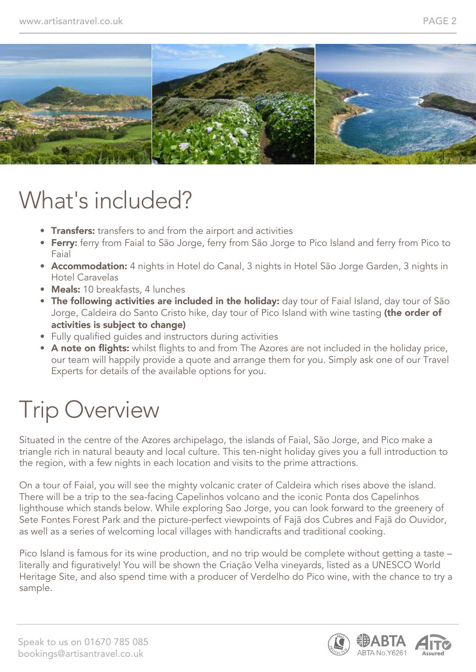

# What's included?

- Transfers: transfers to and from the airport and activities
- Ferry: ferry from Faial to São Jorge, ferry from São Jorge to Pico Island and ferry from Pico to Faial
- Accommodation: 4 nights in Hotel do Canal, 3 nights in Hotel São Jorge Garden, 3 nights in Hotel Caravelas
- Meals: 10 breakfasts, 4 lunches
- The following activities are included in the holiday: day tour of Faial Island, day tour of São Jorge, Caldeira do Santo Cristo hike, day tour of Pico Island with wine tasting (the order of activities is subject to change)
- Fully qualified guides and instructors during activities
- A note on flights: whilst flights to and from The Azores are not included in the holiday price, our team will happily provide a quote and arrange them for you. Simply ask one of our Travel Experts for details of the available options for you.

# Trip Overview

Situated in the centre of the Azores archipelago, the islands of Faial, São Jorge, and Pico make a triangle rich in natural beauty and local culture. This ten-night holiday gives you a full introduction to the region, with a few nights in each location and visits to the prime attractions.

On a tour of Faial, you will see the mighty volcanic crater of Caldeira which rises above the island. There will be a trip to the sea-facing Capelinhos volcano and the iconic Ponta dos Capelinhos lighthouse which stands below. While exploring Sao Jorge, you can look forward to the greenery of Sete Fontes Forest Park and the picture-perfect viewpoints of Fajã dos Cubres and Fajã do Ouvidor, as well as a series of welcoming local villages with handicrafts and traditional cooking.

Pico Island is famous for its wine production, and no trip would be complete without getting a taste – literally and figuratively! You will be shown the Criação Velha vineyards, listed as a UNESCO World Heritage Site, and also spend time with a producer of Verdelho do Pico wine, with the chance to try a sample.

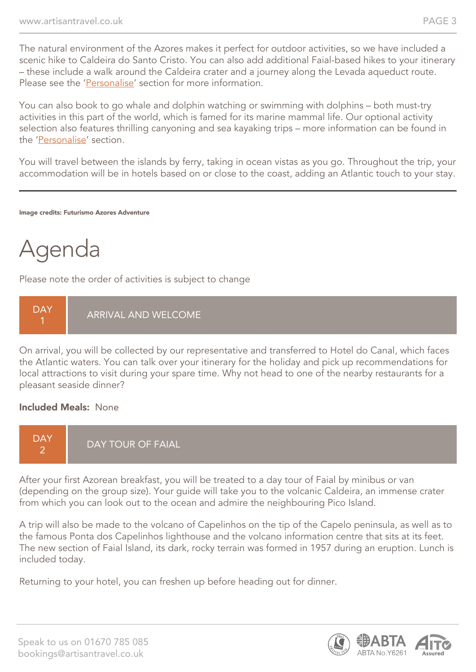The natural environment of the Azores makes it perfect for outdoor activities, so we have included a scenic hike to Caldeira do Santo Cristo. You can also add additional Faial-based hikes to your itinerary – these include a walk around the Caldeira crater and a journey along the Levada aqueduct route. Please see the 'Personalise' section for more information.

You can also book to go whale and dolphin watching or swimming with dolphins – both must-try activities in this part of the world, which is famed for its marine mammal life. Our optional activity selection also features thrilling canyoning and sea kayaking trips – more information can be found in the 'Personalise' section.

You will travel between the islands by ferry, taking in ocean vistas as you go. Throughout the trip, your accommodation will be in hotels based on or close to the coast, adding an Atlantic touch to your stay.

Image credits: Futurismo Azores Adventure

# Agenda

Please note the order of activities is subject to change



On arrival, you will be collected by our representative and transferred to Hotel do Canal, which faces the Atlantic waters. You can talk over your itinerary for the holiday and pick up recommendations for local attractions to visit during your spare time. Why not head to one of the nearby restaurants for a pleasant seaside dinner?

#### Included Meals: None



After your first Azorean breakfast, you will be treated to a day tour of Faial by minibus or van (depending on the group size). Your guide will take you to the volcanic Caldeira, an immense crater from which you can look out to the ocean and admire the neighbouring Pico Island.

A trip will also be made to the volcano of Capelinhos on the tip of the Capelo peninsula, as well as to the famous Ponta dos Capelinhos lighthouse and the volcano information centre that sits at its feet. The new section of Faial Island, its dark, rocky terrain was formed in 1957 during an eruption. Lunch is included today.

Returning to your hotel, you can freshen up before heading out for dinner.

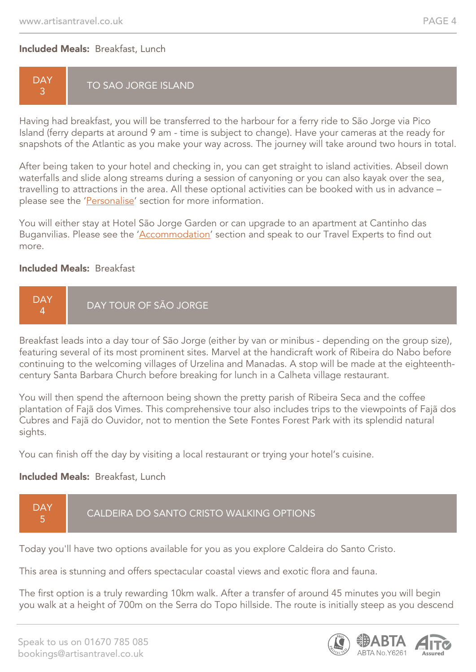#### Included Meals: Breakfast, Lunch

#### **DAY** 3 TO SAO JORGE ISLAND

Having had breakfast, you will be transferred to the harbour for a ferry ride to São Jorge via Pico Island (ferry departs at around 9 am - time is subject to change). Have your cameras at the ready for snapshots of the Atlantic as you make your way across. The journey will take around two hours in total.

After being taken to your hotel and checking in, you can get straight to island activities. Abseil down waterfalls and slide along streams during a session of canyoning or you can also kayak over the sea, travelling to attractions in the area. All these optional activities can be booked with us in advance – please see the 'Personalise' section for more information.

You will either stay at Hotel São Jorge Garden or can upgrade to an apartment at Cantinho das Buganvilias. Please see the 'Accommodation' section and speak to our Travel Experts to find out more.

#### Included Meals: Breakfast



Breakfast leads into a day tour of São Jorge (either by van or minibus - depending on the group size), featuring several of its most prominent sites. Marvel at the handicraft work of Ribeira do Nabo before continuing to the welcoming villages of Urzelina and Manadas. A stop will be made at the eighteenthcentury Santa Barbara Church before breaking for lunch in a Calheta village restaurant.

You will then spend the afternoon being shown the pretty parish of Ribeira Seca and the coffee plantation of Fajã dos Vimes. This comprehensive tour also includes trips to the viewpoints of Fajã dos Cubres and Fajã do Ouvidor, not to mention the Sete Fontes Forest Park with its splendid natural sights.

You can finish off the day by visiting a local restaurant or trying your hotel's cuisine.

#### Included Meals: Breakfast, Lunch



Today you'll have two options available for you as you explore Caldeira do Santo Cristo.

This area is stunning and offers spectacular coastal views and exotic flora and fauna.

The first option is a truly rewarding 10km walk. After a transfer of around 45 minutes you will begin you walk at a height of 700m on the Serra do Topo hillside. The route is initially steep as you descend

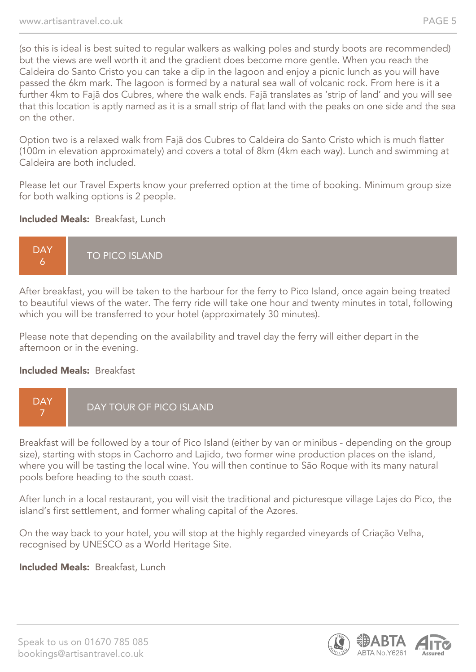(so this is ideal is best suited to regular walkers as walking poles and sturdy boots are recommended) but the views are well worth it and the gradient does become more gentle. When you reach the Caldeira do Santo Cristo you can take a dip in the lagoon and enjoy a picnic lunch as you will have passed the 6km mark. The lagoon is formed by a natural sea wall of volcanic rock. From here is it a further 4km to Fajã dos Cubres, where the walk ends. Fajã translates as 'strip of land' and you will see that this location is aptly named as it is a small strip of flat land with the peaks on one side and the sea on the other.

Option two is a relaxed walk from Fajã dos Cubres to Caldeira do Santo Cristo which is much flatter (100m in elevation approximately) and covers a total of 8km (4km each way). Lunch and swimming at Caldeira are both included.

Please let our Travel Experts know your preferred option at the time of booking. Minimum group size for both walking options is 2 people.

#### Included Meals: Breakfast, Lunch



After breakfast, you will be taken to the harbour for the ferry to Pico Island, once again being treated to beautiful views of the water. The ferry ride will take one hour and twenty minutes in total, following which you will be transferred to your hotel (approximately 30 minutes).

Please note that depending on the availability and travel day the ferry will either depart in the afternoon or in the evening.

#### Included Meals: Breakfast



Breakfast will be followed by a tour of Pico Island (either by van or minibus - depending on the group size), starting with stops in Cachorro and Lajido, two former wine production places on the island, where you will be tasting the local wine. You will then continue to São Roque with its many natural pools before heading to the south coast.

After lunch in a local restaurant, you will visit the traditional and picturesque village Lajes do Pico, the island's first settlement, and former whaling capital of the Azores.

On the way back to your hotel, you will stop at the highly regarded vineyards of Criação Velha, recognised by UNESCO as a World Heritage Site.

#### Included Meals: Breakfast, Lunch

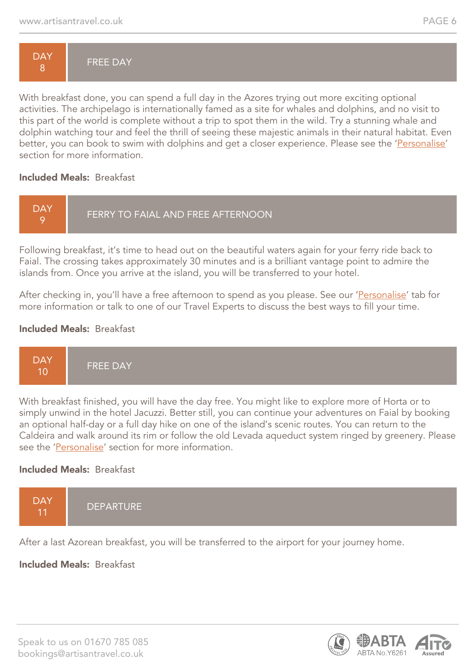

With breakfast done, you can spend a full day in the Azores trying out more exciting optional activities. The archipelago is internationally famed as a site for whales and dolphins, and no visit to this part of the world is complete without a trip to spot them in the wild. Try a stunning whale and dolphin watching tour and feel the thrill of seeing these majestic animals in their natural habitat. Even better, you can book to swim with dolphins and get a closer experience. Please see the 'Personalise' section for more information.

#### Included Meals: Breakfast



Following breakfast, it's time to head out on the beautiful waters again for your ferry ride back to Faial. The crossing takes approximately 30 minutes and is a brilliant vantage point to admire the islands from. Once you arrive at the island, you will be transferred to your hotel.

After checking in, you'll have a free afternoon to spend as you please. See our 'Personalise' tab for more information or talk to one of our Travel Experts to discuss the best ways to fill your time.

#### Included Meals: Breakfast



With breakfast finished, you will have the day free. You might like to explore more of Horta or to simply unwind in the hotel Jacuzzi. Better still, you can continue your adventures on Faial by booking an optional half-day or a full day hike on one of the island's scenic routes. You can return to the Caldeira and walk around its rim or follow the old Levada aqueduct system ringed by greenery. Please see the 'Personalise' section for more information.

#### Included Meals: Breakfast



After a last Azorean breakfast, you will be transferred to the airport for your journey home.

#### Included Meals: Breakfast

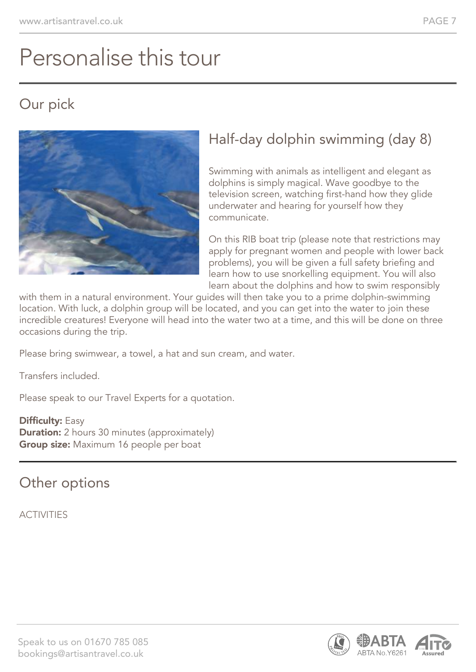# Personalise this tour

# Our pick



# Half-day dolphin swimming (day 8)

Swimming with animals as intelligent and elegant as dolphins is simply magical. Wave goodbye to the television screen, watching first-hand how they glide underwater and hearing for yourself how they communicate.

On this RIB boat trip (please note that restrictions may apply for pregnant women and people with lower back problems), you will be given a full safety briefing and learn how to use snorkelling equipment. You will also learn about the dolphins and how to swim responsibly

with them in a natural environment. Your guides will then take you to a prime dolphin-swimming location. With luck, a dolphin group will be located, and you can get into the water to join these incredible creatures! Everyone will head into the water two at a time, and this will be done on three occasions during the trip.

Please bring swimwear, a towel, a hat and sun cream, and water.

Transfers included.

Please speak to our Travel Experts for a quotation.

**Difficulty: Easy Duration:** 2 hours 30 minutes (approximately) **Group size:** Maximum 16 people per boat

Other options

**ACTIVITIES** 



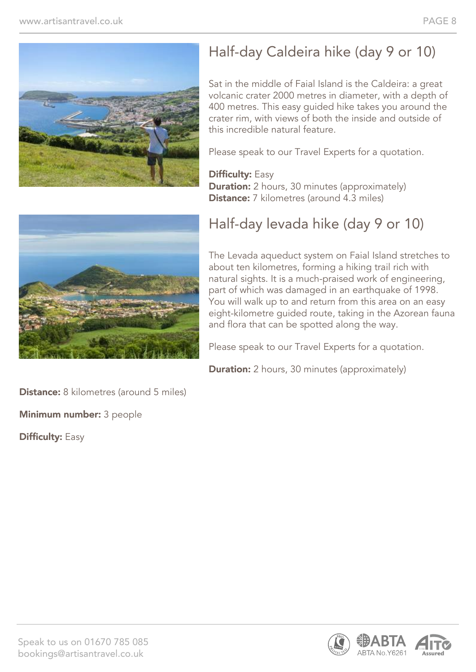

# Half-day Caldeira hike (day 9 or 10)

Sat in the middle of Faial Island is the Caldeira: a great volcanic crater 2000 metres in diameter, with a depth of 400 metres. This easy guided hike takes you around the crater rim, with views of both the inside and outside of this incredible natural feature.

Please speak to our Travel Experts for a quotation.

#### **Difficulty: Easy Duration:** 2 hours, 30 minutes (approximately) **Distance:** 7 kilometres (around 4.3 miles)



# Half-day levada hike (day 9 or 10)

The Levada aqueduct system on Faial Island stretches to about ten kilometres, forming a hiking trail rich with natural sights. It is a much-praised work of engineering, part of which was damaged in an earthquake of 1998. You will walk up to and return from this area on an easy eight-kilometre guided route, taking in the Azorean fauna and flora that can be spotted along the way.

Please speak to our Travel Experts for a quotation.

**Duration:** 2 hours, 30 minutes (approximately)

Distance: 8 kilometres (around 5 miles)

Minimum number: 3 people

**Difficulty: Easy** 

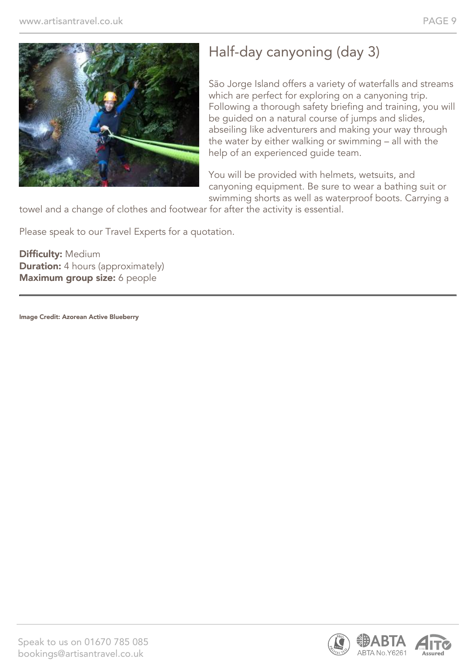

# Half-day canyoning (day 3)

São Jorge Island offers a variety of waterfalls and streams which are perfect for exploring on a canyoning trip. Following a thorough safety briefing and training, you will be guided on a natural course of jumps and slides, abseiling like adventurers and making your way through the water by either walking or swimming – all with the help of an experienced guide team.

You will be provided with helmets, wetsuits, and canyoning equipment. Be sure to wear a bathing suit or swimming shorts as well as waterproof boots. Carrying a

towel and a change of clothes and footwear for after the activity is essential.

Please speak to our Travel Experts for a quotation.

Difficulty: Medium **Duration:** 4 hours (approximately) Maximum group size: 6 people

Image Credit: Azorean Active Blueberry

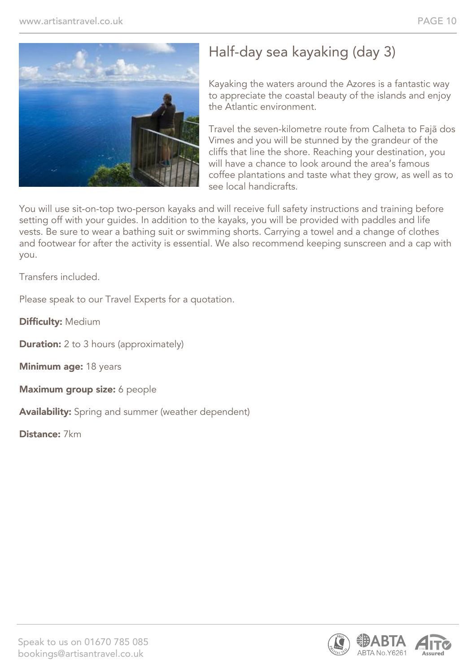

# Half-day sea kayaking (day 3)

Kayaking the waters around the Azores is a fantastic way to appreciate the coastal beauty of the islands and enjoy the Atlantic environment.

Travel the seven-kilometre route from Calheta to Fajã dos Vimes and you will be stunned by the grandeur of the cliffs that line the shore. Reaching your destination, you will have a chance to look around the area's famous coffee plantations and taste what they grow, as well as to see local handicrafts.

You will use sit-on-top two-person kayaks and will receive full safety instructions and training before setting off with your guides. In addition to the kayaks, you will be provided with paddles and life vests. Be sure to wear a bathing suit or swimming shorts. Carrying a towel and a change of clothes and footwear for after the activity is essential. We also recommend keeping sunscreen and a cap with you.

Transfers included.

Please speak to our Travel Experts for a quotation.

Difficulty: Medium

**Duration:** 2 to 3 hours (approximately)

Minimum age: 18 years

Maximum group size: 6 people

Availability: Spring and summer (weather dependent)

Distance: 7km

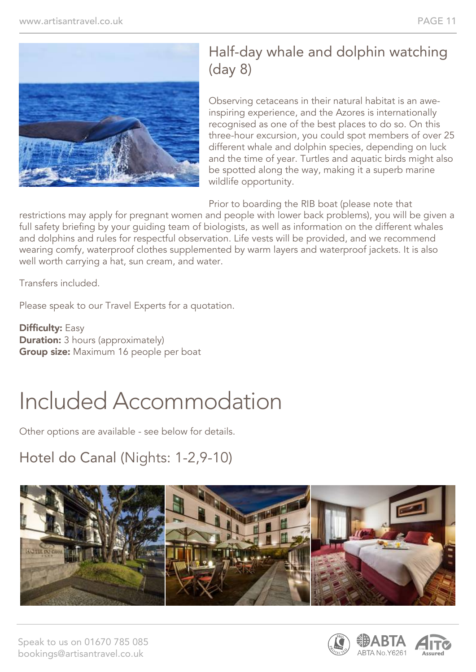

# Half-day whale and dolphin watching (day 8)

Observing cetaceans in their natural habitat is an aweinspiring experience, and the Azores is internationally recognised as one of the best places to do so. On this three-hour excursion, you could spot members of over 25 different whale and dolphin species, depending on luck and the time of year. Turtles and aquatic birds might also be spotted along the way, making it a superb marine wildlife opportunity.

Prior to boarding the RIB boat (please note that

restrictions may apply for pregnant women and people with lower back problems), you will be given a full safety briefing by your guiding team of biologists, as well as information on the different whales and dolphins and rules for respectful observation. Life vests will be provided, and we recommend wearing comfy, waterproof clothes supplemented by warm layers and waterproof jackets. It is also well worth carrying a hat, sun cream, and water.

Transfers included.

Please speak to our Travel Experts for a quotation.

**Difficulty: Easy Duration:** 3 hours (approximately) **Group size:** Maximum 16 people per boat

# Included Accommodation

Other options are available - see below for details.

# Hotel do Canal (Nights: 1-2,9-10)



Speak to us on 01670 785 085 bookings@artisantravel.co.uk

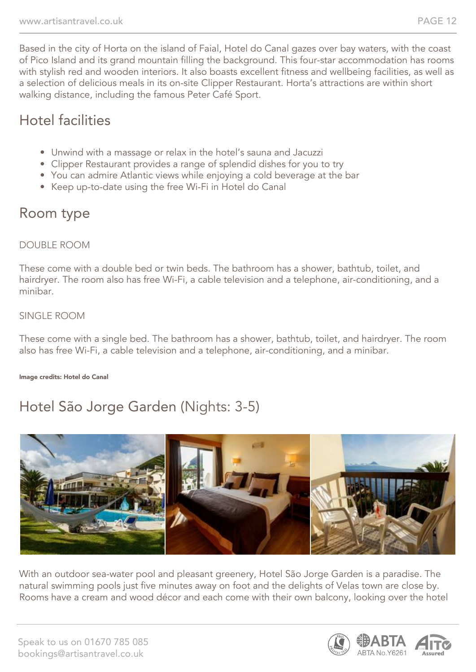Based in the city of Horta on the island of Faial, Hotel do Canal gazes over bay waters, with the coast of Pico Island and its grand mountain filling the background. This four-star accommodation has rooms with stylish red and wooden interiors. It also boasts excellent fitness and wellbeing facilities, as well as a selection of delicious meals in its on-site Clipper Restaurant. Horta's attractions are within short walking distance, including the famous Peter Café Sport.

# Hotel facilities

- Unwind with a massage or relax in the hotel's sauna and Jacuzzi
- Clipper Restaurant provides a range of splendid dishes for you to try
- You can admire Atlantic views while enjoying a cold beverage at the bar
- Keep up-to-date using the free Wi-Fi in Hotel do Canal

# Room type

#### DOUBLE ROOM

These come with a double bed or twin beds. The bathroom has a shower, bathtub, toilet, and hairdryer. The room also has free Wi-Fi, a cable television and a telephone, air-conditioning, and a minibar.

#### SINGLE ROOM

These come with a single bed. The bathroom has a shower, bathtub, toilet, and hairdryer. The room also has free Wi-Fi, a cable television and a telephone, air-conditioning, and a minibar.

#### Image credits: Hotel do Canal

# Hotel São Jorge Garden (Nights: 3-5)



With an outdoor sea-water pool and pleasant greenery, Hotel São Jorge Garden is a paradise. The natural swimming pools just five minutes away on foot and the delights of Velas town are close by. Rooms have a cream and wood décor and each come with their own balcony, looking over the hotel

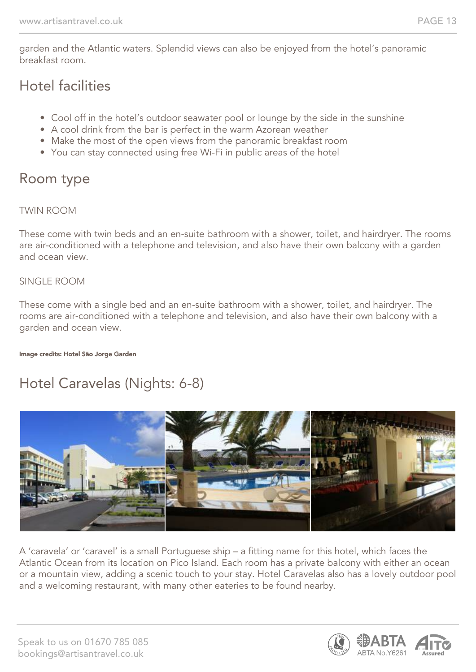garden and the Atlantic waters. Splendid views can also be enjoyed from the hotel's panoramic breakfast room.

### Hotel facilities

- Cool off in the hotel's outdoor seawater pool or lounge by the side in the sunshine
- A cool drink from the bar is perfect in the warm Azorean weather
- Make the most of the open views from the panoramic breakfast room
- You can stay connected using free Wi-Fi in public areas of the hotel

# Room type

#### TWIN ROOM

These come with twin beds and an en-suite bathroom with a shower, toilet, and hairdryer. The rooms are air-conditioned with a telephone and television, and also have their own balcony with a garden and ocean view.

#### SINGLE ROOM

These come with a single bed and an en-suite bathroom with a shower, toilet, and hairdryer. The rooms are air-conditioned with a telephone and television, and also have their own balcony with a garden and ocean view.

#### Image credits: Hotel São Jorge Garden

# Hotel Caravelas (Nights: 6-8)



A 'caravela' or 'caravel' is a small Portuguese ship – a fitting name for this hotel, which faces the Atlantic Ocean from its location on Pico Island. Each room has a private balcony with either an ocean or a mountain view, adding a scenic touch to your stay. Hotel Caravelas also has a lovely outdoor pool and a welcoming restaurant, with many other eateries to be found nearby.

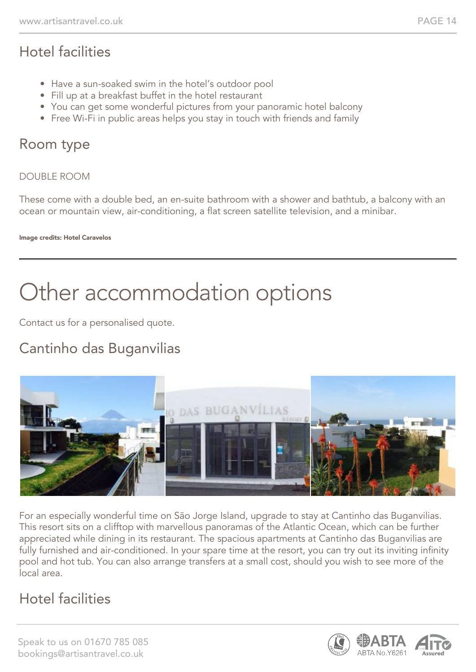# Hotel facilities

- Have a sun-soaked swim in the hotel's outdoor pool
- Fill up at a breakfast buffet in the hotel restaurant
- You can get some wonderful pictures from your panoramic hotel balcony
- Free Wi-Fi in public areas helps you stay in touch with friends and family

### Room type

#### DOUBLE ROOM

These come with a double bed, an en-suite bathroom with a shower and bathtub, a balcony with an ocean or mountain view, air-conditioning, a flat screen satellite television, and a minibar.

Image credits: Hotel Caravelos

# Other accommodation options

Contact us for a personalised quote.

# Cantinho das Buganvilias



For an especially wonderful time on São Jorge Island, upgrade to stay at Cantinho das Buganvilias. This resort sits on a clifftop with marvellous panoramas of the Atlantic Ocean, which can be further appreciated while dining in its restaurant. The spacious apartments at Cantinho das Buganvilias are fully furnished and air-conditioned. In your spare time at the resort, you can try out its inviting infinity pool and hot tub. You can also arrange transfers at a small cost, should you wish to see more of the local area.

# Hotel facilities

Speak to us on 01670 785 085 bookings@artisantravel.co.uk

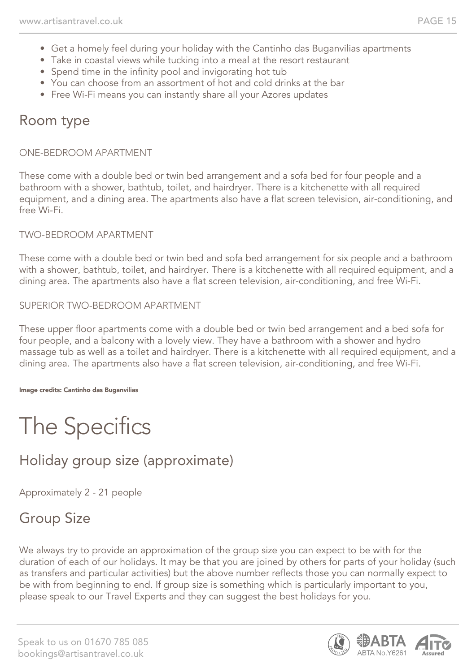- Get a homely feel during your holiday with the Cantinho das Buganvilias apartments
- Take in coastal views while tucking into a meal at the resort restaurant
- Spend time in the infinity pool and invigorating hot tub
- You can choose from an assortment of hot and cold drinks at the bar
- Free Wi-Fi means you can instantly share all your Azores updates

# Room type

#### ONE-BEDROOM APARTMENT

These come with a double bed or twin bed arrangement and a sofa bed for four people and a bathroom with a shower, bathtub, toilet, and hairdryer. There is a kitchenette with all required equipment, and a dining area. The apartments also have a flat screen television, air-conditioning, and free Wi-Fi.

#### TWO-BEDROOM APARTMENT

These come with a double bed or twin bed and sofa bed arrangement for six people and a bathroom with a shower, bathtub, toilet, and hairdryer. There is a kitchenette with all required equipment, and a dining area. The apartments also have a flat screen television, air-conditioning, and free Wi-Fi.

#### SUPERIOR TWO-BEDROOM APARTMENT

These upper floor apartments come with a double bed or twin bed arrangement and a bed sofa for four people, and a balcony with a lovely view. They have a bathroom with a shower and hydro massage tub as well as a toilet and hairdryer. There is a kitchenette with all required equipment, and a dining area. The apartments also have a flat screen television, air-conditioning, and free Wi-Fi.

#### Image credits: Cantinho das Buganvilias

# The Specifics

# Holiday group size (approximate)

Approximately 2 - 21 people

# Group Size

We always try to provide an approximation of the group size you can expect to be with for the duration of each of our holidays. It may be that you are joined by others for parts of your holiday (such as transfers and particular activities) but the above number reflects those you can normally expect to be with from beginning to end. If group size is something which is particularly important to you, please speak to our Travel Experts and they can suggest the best holidays for you.